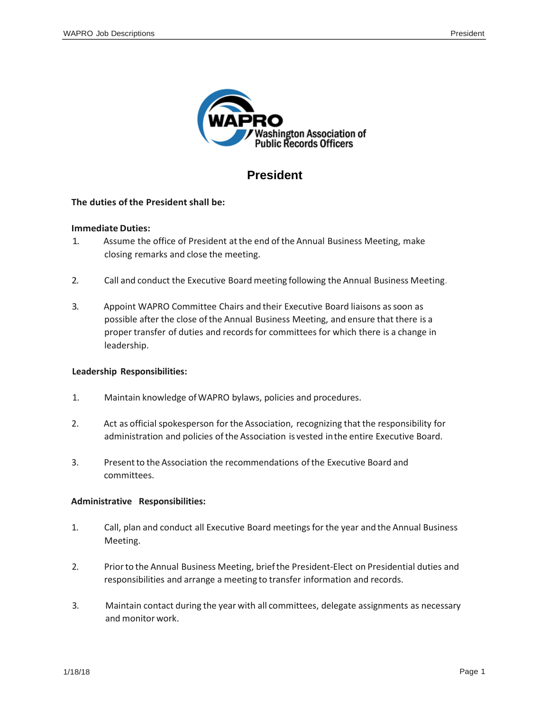

# **President**

### **The duties of the Presidentshall be:**

#### **Immediate Duties:**

- 1. Assume the office of President atthe end of the Annual Business Meeting, make closing remarks and close the meeting.
- 2. Call and conduct the Executive Board meeting following the Annual Business Meeting.
- 3. Appoint WAPRO Committee Chairs and their Executive Board liaisons assoon as possible after the close ofthe Annual Business Meeting, and ensure that there is a proper transfer of duties and records for committees for which there is a change in leadership.

#### **Leadership Responsibilities:**

- 1. Maintain knowledge ofWAPRO bylaws, policies and procedures.
- 2. Act as official spokesperson forthe Association, recognizing that the responsibility for administration and policies of the Association is vested in the entire Executive Board.
- 3. Presentto the Association the recommendations ofthe Executive Board and committees.

### **Administrative Responsibilities:**

- 1. Call, plan and conduct all Executive Board meetingsfor the year and the Annual Business Meeting.
- 2. Priorto the Annual Business Meeting, briefthe President-Elect on Presidential duties and responsibilities and arrange a meeting to transfer information and records.
- 3. Maintain contact during the year with all committees, delegate assignments as necessary and monitor work.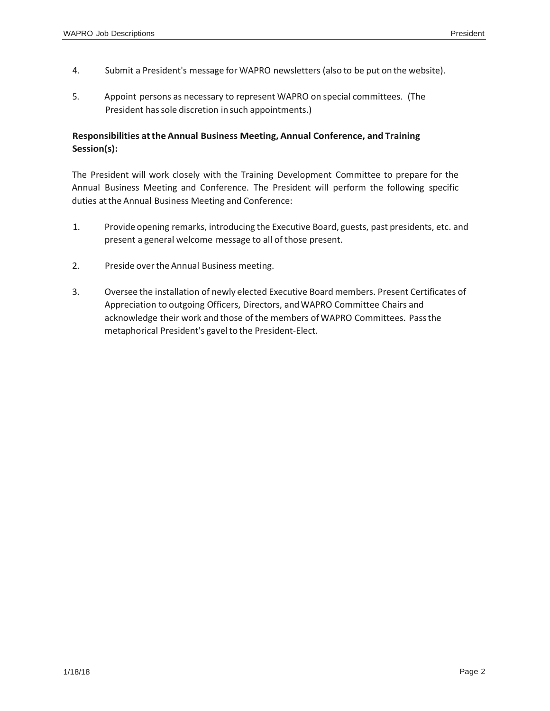- 4. Submit a President's message for WAPRO newsletters (also to be put on the website).
- 5. Appoint persons as necessary to represent WAPRO on special committees. (The President has sole discretion in such appointments.)

### **Responsibilities atthe Annual Business Meeting, Annual Conference, and Training Session(s):**

The President will work closely with the Training Development Committee to prepare for the Annual Business Meeting and Conference. The President will perform the following specific duties at the Annual Business Meeting and Conference:

- 1. Provide opening remarks, introducing the Executive Board, guests, past presidents, etc. and present a general welcome message to all of those present.
- 2. Preside over the Annual Business meeting.
- 3. Oversee the installation of newly elected Executive Board members. Present Certificates of Appreciation to outgoing Officers, Directors, andWAPRO Committee Chairs and acknowledge their work and those ofthe members ofWAPRO Committees. Passthe metaphorical President's gavel to the President-Elect.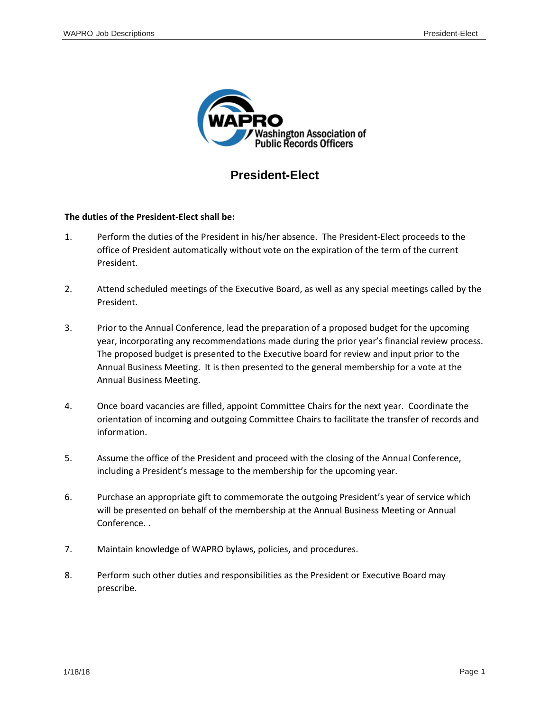

## **President-Elect**

#### **The duties of the President-Elect shall be:**

- 1. Perform the duties of the President in his/her absence. The President-Elect proceeds to the office of President automatically without vote on the expiration of the term of the current President.
- 2. Attend scheduled meetings of the Executive Board, as well as any special meetings called by the President.
- 3. Prior to the Annual Conference, lead the preparation of a proposed budget for the upcoming year, incorporating any recommendations made during the prior year's financial review process. The proposed budget is presented to the Executive board for review and input prior to the Annual Business Meeting. It is then presented to the general membership for a vote at the Annual Business Meeting.
- 4. Once board vacancies are filled, appoint Committee Chairs for the next year. Coordinate the orientation of incoming and outgoing Committee Chairs to facilitate the transfer of records and information.
- 5. Assume the office of the President and proceed with the closing of the Annual Conference, including a President's message to the membership for the upcoming year.
- 6. Purchase an appropriate gift to commemorate the outgoing President's year of service which will be presented on behalf of the membership at the Annual Business Meeting or Annual Conference. .
- 7. Maintain knowledge of WAPRO bylaws, policies, and procedures.
- 8. Perform such other duties and responsibilities as the President or Executive Board may prescribe.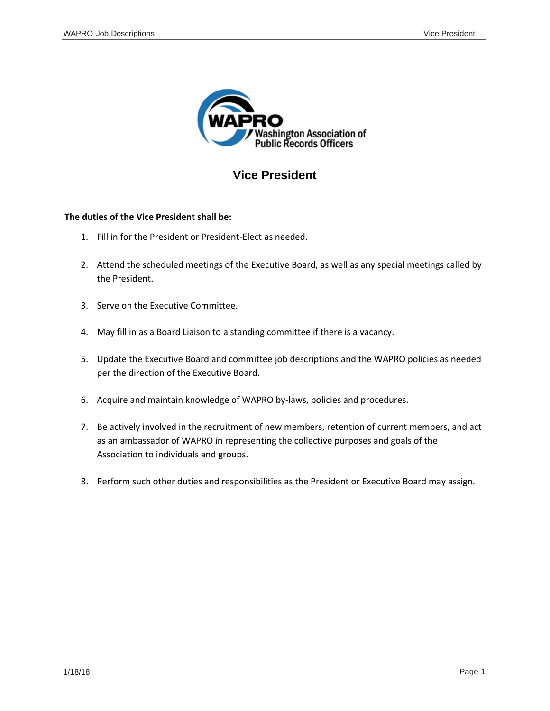

# **Vice President**

### **The duties of the Vice President shall be:**

- 1. Fill in for the President or President-Elect as needed.
- 2. Attend the scheduled meetings of the Executive Board, as well as any special meetings called by the President.
- 3. Serve on the Executive Committee.
- 4. May fill in as a Board Liaison to a standing committee if there is a vacancy.
- 5. Update the Executive Board and committee job descriptions and the WAPRO policies as needed per the direction of the Executive Board.
- 6. Acquire and maintain knowledge of WAPRO by-laws, policies and procedures.
- 7. Be actively involved in the recruitment of new members, retention of current members, and act as an ambassador of WAPRO in representing the collective purposes and goals of the Association to individuals and groups.
- 8. Perform such other duties and responsibilities as the President or Executive Board may assign.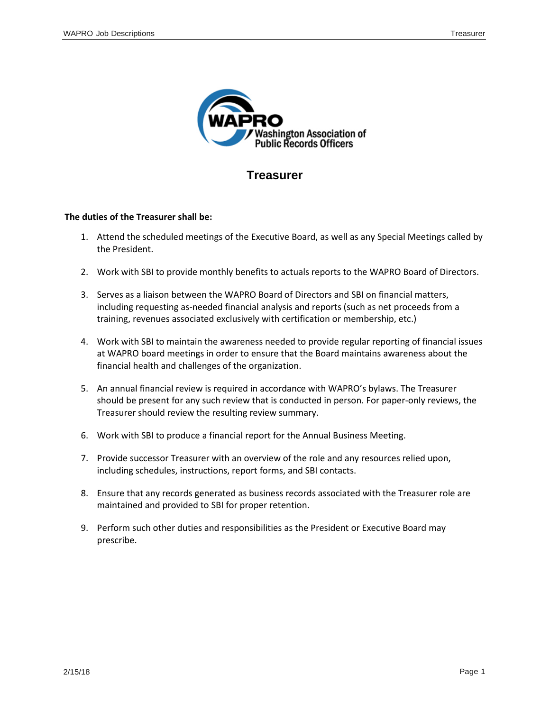

### **Treasurer**

#### **The duties of the Treasurer shall be:**

- 1. Attend the scheduled meetings of the Executive Board, as well as any Special Meetings called by the President.
- 2. Work with SBI to provide monthly benefits to actuals reports to the WAPRO Board of Directors.
- 3. Serves as a liaison between the WAPRO Board of Directors and SBI on financial matters, including requesting as-needed financial analysis and reports (such as net proceeds from a training, revenues associated exclusively with certification or membership, etc.)
- 4. Work with SBI to maintain the awareness needed to provide regular reporting of financial issues at WAPRO board meetings in order to ensure that the Board maintains awareness about the financial health and challenges of the organization.
- 5. An annual financial review is required in accordance with WAPRO's bylaws. The Treasurer should be present for any such review that is conducted in person. For paper-only reviews, the Treasurer should review the resulting review summary.
- 6. Work with SBI to produce a financial report for the Annual Business Meeting.
- 7. Provide successor Treasurer with an overview of the role and any resources relied upon, including schedules, instructions, report forms, and SBI contacts.
- 8. Ensure that any records generated as business records associated with the Treasurer role are maintained and provided to SBI for proper retention.
- 9. Perform such other duties and responsibilities as the President or Executive Board may prescribe.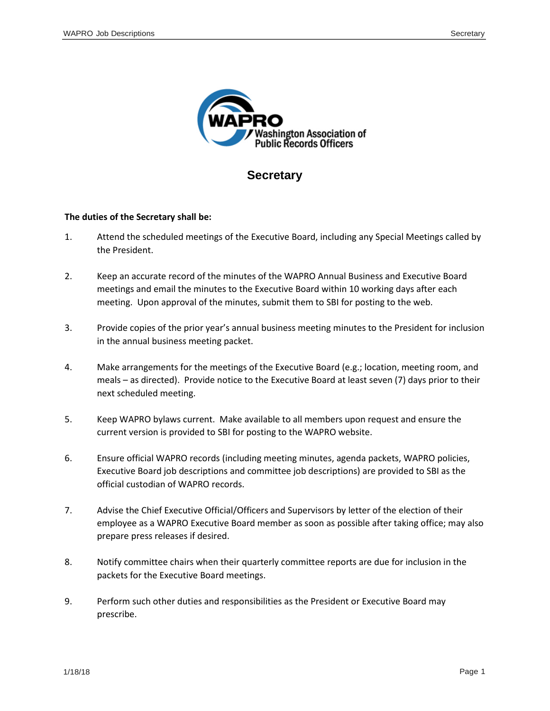

### **Secretary**

### **The duties of the Secretary shall be:**

- 1. Attend the scheduled meetings of the Executive Board, including any Special Meetings called by the President.
- 2. Keep an accurate record of the minutes of the WAPRO Annual Business and Executive Board meetings and email the minutes to the Executive Board within 10 working days after each meeting. Upon approval of the minutes, submit them to SBI for posting to the web.
- 3. Provide copies of the prior year's annual business meeting minutes to the President for inclusion in the annual business meeting packet.
- 4. Make arrangements for the meetings of the Executive Board (e.g.; location, meeting room, and meals – as directed). Provide notice to the Executive Board at least seven (7) days prior to their next scheduled meeting.
- 5. Keep WAPRO bylaws current. Make available to all members upon request and ensure the current version is provided to SBI for posting to the WAPRO website.
- 6. Ensure official WAPRO records (including meeting minutes, agenda packets, WAPRO policies, Executive Board job descriptions and committee job descriptions) are provided to SBI as the official custodian of WAPRO records.
- 7. Advise the Chief Executive Official/Officers and Supervisors by letter of the election of their employee as a WAPRO Executive Board member as soon as possible after taking office; may also prepare press releases if desired.
- 8. Notify committee chairs when their quarterly committee reports are due for inclusion in the packets for the Executive Board meetings.
- 9. Perform such other duties and responsibilities as the President or Executive Board may prescribe.